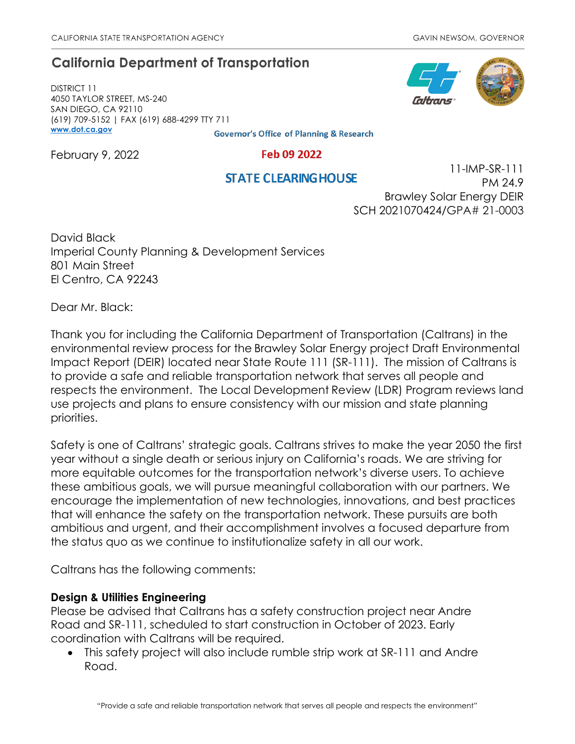# **California Department of Transportation**

DISTRICT 11 4050 TAYLOR STREET, MS-240 SAN DIEGO, CA 92110 (619) 709-5152 | FAX (619) 688-4299 TTY 711 **[www.dot.ca.gov](http://www.dot.ca.gov/)**

**Governor's Office of Planning & Research** 

February 9, 2022

#### Feb 09 2022

## **STATE CLEARING HOUSE**

11-IMP-SR-111 PM 24.9 Brawley Solar Energy DEIR SCH 2021070424/GPA# 21-0003

David Black Imperial County Planning & Development Services 801 Main Street El Centro, CA 92243

Dear Mr. Black:

Thank you for including the California Department of Transportation (Caltrans) in the environmental review process for the Brawley Solar Energy project Draft Environmental Impact Report (DEIR) located near State Route 111 (SR-111). The mission of Caltrans is to provide a safe and reliable transportation network that serves all people and respects the environment. The Local Development Review (LDR) Program reviews land use projects and plans to ensure consistency with our mission and state planning priorities.

Safety is one of Caltrans' strategic goals. Caltrans strives to make the year 2050 the first year without a single death or serious injury on California's roads. We are striving for more equitable outcomes for the transportation network's diverse users. To achieve these ambitious goals, we will pursue meaningful collaboration with our partners. We encourage the implementation of new technologies, innovations, and best practices that will enhance the safety on the transportation network. These pursuits are both ambitious and urgent, and their accomplishment involves a focused departure from the status quo as we continue to institutionalize safety in all our work.

Caltrans has the following comments:

### **Design & Utilities Engineering**

Please be advised that Caltrans has a safety construction project near Andre Road and SR-111, scheduled to start construction in October of 2023. Early coordination with Caltrans will be required.

• This safety project will also include rumble strip work at SR-111 and Andre Road.

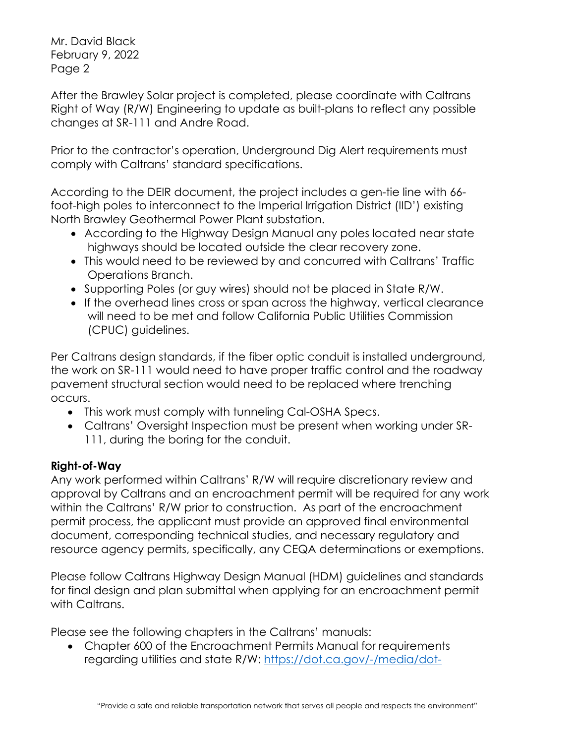Mr. David Black February 9, 2022 Page 2

After the Brawley Solar project is completed, please coordinate with Caltrans Right of Way (R/W) Engineering to update as built-plans to reflect any possible changes at SR-111 and Andre Road.

Prior to the contractor's operation, Underground Dig Alert requirements must comply with Caltrans' standard specifications.

According to the DEIR document, the project includes a gen-tie line with 66 foot-high poles to interconnect to the Imperial Irrigation District (IID') existing North Brawley Geothermal Power Plant substation.

- According to the Highway Design Manual any poles located near state highways should be located outside the clear recovery zone.
- This would need to be reviewed by and concurred with Caltrans' Traffic Operations Branch.
- Supporting Poles (or guy wires) should not be placed in State R/W.
- If the overhead lines cross or span across the highway, vertical clearance will need to be met and follow California Public Utilities Commission (CPUC) guidelines.

Per Caltrans design standards, if the fiber optic conduit is installed underground, the work on SR-111 would need to have proper traffic control and the roadway pavement structural section would need to be replaced where trenching occurs.

- This work must comply with tunneling Cal-OSHA Specs.
- Caltrans' Oversight Inspection must be present when working under SR-111, during the boring for the conduit.

## **Right-of-Way**

Any work performed within Caltrans' R/W will require discretionary review and approval by Caltrans and an encroachment permit will be required for any work within the Caltrans' R/W prior to construction. As part of the encroachment permit process, the applicant must provide an approved final environmental document, corresponding technical studies, and necessary regulatory and resource agency permits, specifically, any CEQA determinations or exemptions.

Please follow Caltrans Highway Design Manual (HDM) guidelines and standards for final design and plan submittal when applying for an encroachment permit with Caltrans.

Please see the following chapters in the Caltrans' manuals:

• Chapter 600 of the Encroachment Permits Manual for requirements regarding utilities and state R/W: [https://dot.ca.gov/-/media/dot-](https://dot.ca.gov/-/media/dot-media/programs/traffic-operations/documents/encroachment-permits/chapter-6-ada-a11y.pdf)